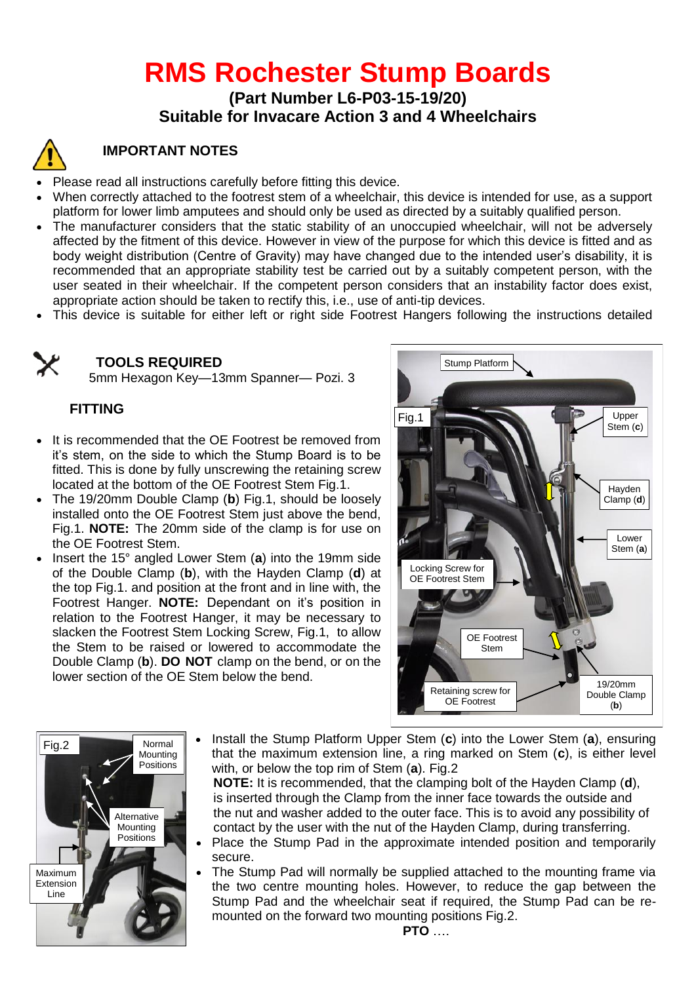# **RMS Rochester Stump Boards**

### **(Part Number L6-P03-15-19/20) Suitable for Invacare Action 3 and 4 Wheelchairs**



## **IMPORTANT NOTES**

- Please read all instructions carefully before fitting this device.
- When correctly attached to the footrest stem of a wheelchair, this device is intended for use, as a support platform for lower limb amputees and should only be used as directed by a suitably qualified person.
- The manufacturer considers that the static stability of an unoccupied wheelchair, will not be adversely affected by the fitment of this device. However in view of the purpose for which this device is fitted and as body weight distribution (Centre of Gravity) may have changed due to the intended user's disability, it is recommended that an appropriate stability test be carried out by a suitably competent person, with the user seated in their wheelchair. If the competent person considers that an instability factor does exist, appropriate action should be taken to rectify this, i.e., use of anti-tip devices.
- This device is suitable for either left or right side Footrest Hangers following the instructions detailed



#### **TOOLS REQUIRED** Stump Platform

5mm Hexagon Key—13mm Spanner— Pozi. 3

#### **FITTING**

- It is recommended that the OE Footrest be removed from it's stem, on the side to which the Stump Board is to be fitted. This is done by fully unscrewing the retaining screw located at the bottom of the OE Footrest Stem Fig.1.
- The 19/20mm Double Clamp (**b**) Fig.1, should be loosely installed onto the OE Footrest Stem just above the bend, Fig.1. **NOTE:** The 20mm side of the clamp is for use on the OE Footrest Stem.
- Insert the 15° angled Lower Stem (a) into the 19mm side of the Double Clamp (**b**), with the Hayden Clamp (**d**) at the top Fig.1. and position at the front and in line with, the Footrest Hanger. **NOTE:** Dependant on it's position in relation to the Footrest Hanger, it may be necessary to slacken the Footrest Stem Locking Screw, Fig.1, to allow the Stem to be raised or lowered to accommodate the Double Clamp (**b**). **DO NOT** clamp on the bend, or on the lower section of the OE Stem below the bend.





 Install the Stump Platform Upper Stem (**c**) into the Lower Stem (**a**), ensuring that the maximum extension line, a ring marked on Stem (**c**), is either level with, or below the top rim of Stem (**a**). Fig.2

 **NOTE:** It is recommended, that the clamping bolt of the Hayden Clamp (**d**), is inserted through the Clamp from the inner face towards the outside and the nut and washer added to the outer face. This is to avoid any possibility of contact by the user with the nut of the Hayden Clamp, during transferring.

- Place the Stump Pad in the approximate intended position and temporarily secure.
- The Stump Pad will normally be supplied attached to the mounting frame via the two centre mounting holes. However, to reduce the gap between the Stump Pad and the wheelchair seat if required, the Stump Pad can be remounted on the forward two mounting positions Fig.2.